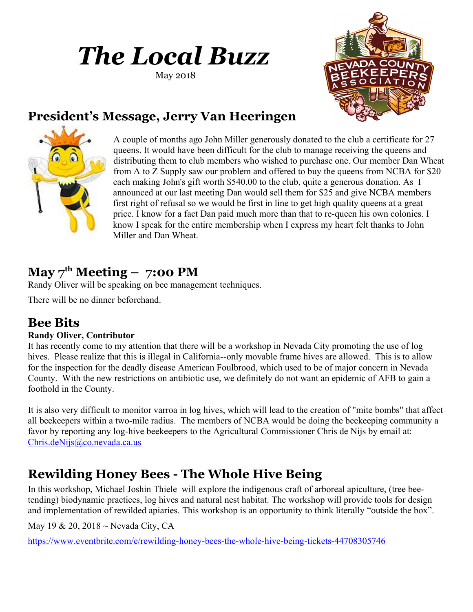# *The Local Buzz*

May 2018



### **President's Message, Jerry Van Heeringen**



A couple of months ago John Miller generously donated to the club a certificate for 27 queens. It would have been difficult for the club to manage receiving the queens and distributing them to club members who wished to purchase one. Our member Dan Wheat from A to Z Supply saw our problem and offered to buy the queens from NCBA for \$20 each making John's gift worth \$540.00 to the club, quite a generous donation. As I announced at our last meeting Dan would sell them for \$25 and give NCBA members first right of refusal so we would be first in line to get high quality queens at a great price. I know for a fact Dan paid much more than that to re-queen his own colonies. I know I speak for the entire membership when I express my heart felt thanks to John Miller and Dan Wheat.

### $\mathbf{May \, 7}^{\text{th}} \mathbf{M}$  **Meeting – 7:00 PM**

Randy Oliver will be speaking on bee management techniques.

There will be no dinner beforehand.

### **Bee Bits**

#### **Randy Oliver, Contributor**

It has recently come to my attention that there will be a workshop in Nevada City promoting the use of log hives. Please realize that this is illegal in California--only movable frame hives are allowed. This is to allow for the inspection for the deadly disease American Foulbrood, which used to be of major concern in Nevada County. With the new restrictions on antibiotic use, we definitely do not want an epidemic of AFB to gain a foothold in the County.

It is also very difficult to monitor varroa in log hives, which will lead to the creation of "mite bombs" that affect all beekeepers within a two-mile radius. The members of NCBA would be doing the beekeeping community a favor by reporting any log-hive beekeepers to the Agricultural Commissioner Chris de Nijs by email at: [Chris.deNijs@co.nevada.ca.us](mailto:Chris.deNijs@co.nevada.ca.us)

### **Rewilding Honey Bees - The Whole Hive Being**

In this workshop, Michael Joshin Thiele will explore the indigenous craft of arboreal apiculture, (tree beetending) biodynamic practices, log hives and natural nest habitat. The workshop will provide tools for design and implementation of rewilded apiaries. This workshop is an opportunity to think literally "outside the box".

May 19 & 20, 2018 ~ Nevada City, CA

<https://www.eventbrite.com/e/rewilding-honey-bees-the-whole-hive-being-tickets-44708305746>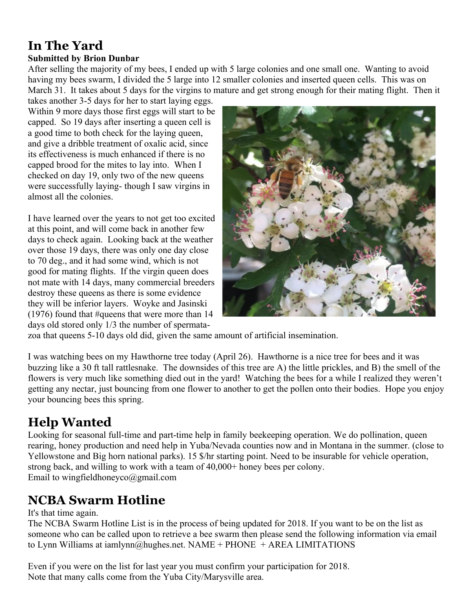## **In The Yard**

#### **Submitted by Brion Dunbar**

After selling the majority of my bees, I ended up with 5 large colonies and one small one. Wanting to avoid having my bees swarm, I divided the 5 large into 12 smaller colonies and inserted queen cells. This was on March 31. It takes about 5 days for the virgins to mature and get strong enough for their mating flight. Then it

takes another 3-5 days for her to start laying eggs. Within 9 more days those first eggs will start to be capped. So 19 days after inserting a queen cell is a good time to both check for the laying queen, and give a dribble treatment of oxalic acid, since its effectiveness is much enhanced if there is no capped brood for the mites to lay into. When I checked on day 19, only two of the new queens were successfully laying- though I saw virgins in almost all the colonies.

I have learned over the years to not get too excited at this point, and will come back in another few days to check again. Looking back at the weather over those 19 days, there was only one day close to 70 deg., and it had some wind, which is not good for mating flights. If the virgin queen does not mate with 14 days, many commercial breeders destroy these queens as there is some evidence they will be inferior layers. Woyke and Jasinski (1976) found that #queens that were more than 14 days old stored only 1/3 the number of spermata-



zoa that queens 5-10 days old did, given the same amount of artificial insemination.

I was watching bees on my Hawthorne tree today (April 26). Hawthorne is a nice tree for bees and it was buzzing like a 30 ft tall rattlesnake. The downsides of this tree are A) the little prickles, and B) the smell of the flowers is very much like something died out in the yard! Watching the bees for a while I realized they weren't getting any nectar, just bouncing from one flower to another to get the pollen onto their bodies. Hope you enjoy your bouncing bees this spring.

### **Help Wanted**

Looking for seasonal full-time and part-time help in family beekeeping operation. We do pollination, queen rearing, honey production and need help in Yuba/Nevada counties now and in Montana in the summer. (close to Yellowstone and Big horn national parks). 15  $\frac{15}{2}$  hr starting point. Need to be insurable for vehicle operation, strong back, and willing to work with a team of 40,000+ honey bees per colony. Email to wingfieldhoneyco@gmail.com

### **NCBA Swarm Hotline**

#### It's that time again.

The NCBA Swarm Hotline List is in the process of being updated for 2018. If you want to be on the list as someone who can be called upon to retrieve a bee swarm then please send the following information via email to Lynn Williams at iamlynn@hughes.net. NAME + PHONE + AREA LIMITATIONS

Even if you were on the list for last year you must confirm your participation for 2018. Note that many calls come from the Yuba City/Marysville area.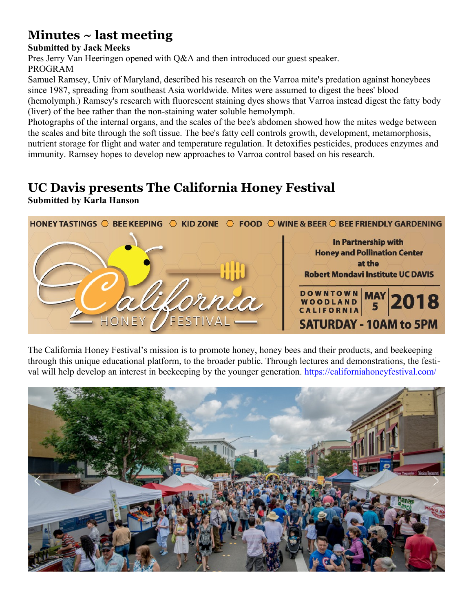### **Minutes ~ last meeting**

#### **Submitted by Jack Meeks**

Pres Jerry Van Heeringen opened with Q&A and then introduced our guest speaker. PROGRAM

Samuel Ramsey, Univ of Maryland, described his research on the Varroa mite's predation against honeybees since 1987, spreading from southeast Asia worldwide. Mites were assumed to digest the bees' blood (hemolymph.) Ramsey's research with fluorescent staining dyes shows that Varroa instead digest the fatty body (liver) of the bee rather than the non-staining water soluble hemolymph.

Photographs of the internal organs, and the scales of the bee's abdomen showed how the mites wedge between the scales and bite through the soft tissue. The bee's fatty cell controls growth, development, metamorphosis, nutrient storage for flight and water and temperature regulation. It detoxifies pesticides, produces enzymes and immunity. Ramsey hopes to develop new approaches to Varroa control based on his research.

### **UC Davis presents The California Honey Festival**

**Submitted by Karla Hanson**



The California Honey Festival's mission is to promote honey, honey bees and their products, and beekeeping through this unique educational platform, to the broader public. Through lectures and demonstrations, the festival will help develop an interest in beekeeping by the younger generation.<https://californiahoneyfestival.com/>

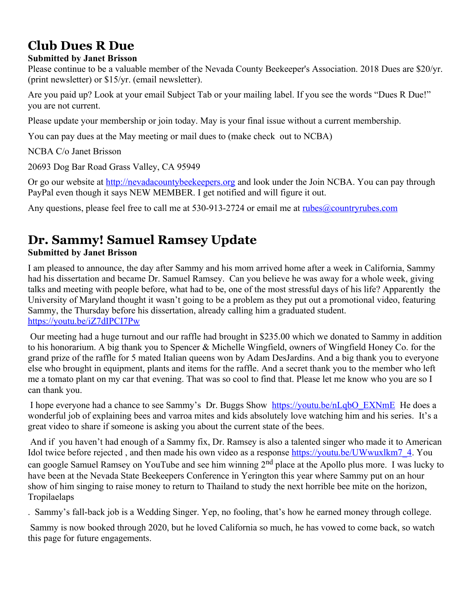### **Club Dues R Due**

#### **Submitted by Janet Brisson**

Please continue to be a valuable member of the Nevada County Beekeeper's Association. 2018 Dues are \$20/yr. (print newsletter) or \$15/yr. (email newsletter).

Are you paid up? Look at your email Subject Tab or your mailing label. If you see the words "Dues R Due!" you are not current.

Please update your membership or join today. May is your final issue without a current membership.

You can pay dues at the May meeting or mail dues to (make check out to NCBA)

NCBA C/o Janet Brisson

20693 Dog Bar Road Grass Valley, CA 95949

Or go our website at [http://nevadacountybeekeepers.org](http://nevadacountybeekeepers.org/) and look under the Join NCBA. You can pay through PayPal even though it says NEW MEMBER. I get notified and will figure it out.

Any questions, please feel free to call me at 530-913-2724 or email me at [rubes@countryrubes.com](mailto:rubes@countryrubes.com)

### **Dr. Sammy! Samuel Ramsey Update**

#### **Submitted by Janet Brisson**

I am pleased to announce, the day after Sammy and his mom arrived home after a week in California, Sammy had his dissertation and became Dr. Samuel Ramsey. Can you believe he was away for a whole week, giving talks and meeting with people before, what had to be, one of the most stressful days of his life? Apparently the University of Maryland thought it wasn't going to be a problem as they put out a promotional video, featuring Sammy, the Thursday before his dissertation, already calling him a graduated student. <https://youtu.be/iZ7dIPCI7Pw>

Our meeting had a huge turnout and our raffle had brought in \$235.00 which we donated to Sammy in addition to his honorarium. A big thank you to Spencer & Michelle Wingfield, owners of Wingfield Honey Co. for the grand prize of the raffle for 5 mated Italian queens won by Adam DesJardins. And a big thank you to everyone else who brought in equipment, plants and items for the raffle. And a secret thank you to the member who left me a tomato plant on my car that evening. That was so cool to find that. Please let me know who you are so I can thank you.

I hope everyone had a chance to see Sammy's Dr. Buggs Show [https://youtu.be/nLqbO\\_EXNmE](https://youtu.be/nLqbO_EXNmE) He does a wonderful job of explaining bees and varroa mites and kids absolutely love watching him and his series. It's a great video to share if someone is asking you about the current state of the bees.

And if you haven't had enough of a Sammy fix, Dr. Ramsey is also a talented singer who made it to American Idol twice before rejected, and then made his own video as a response [https://youtu.be/UWwuxlkm7\\_4.](https://youtu.be/UWwuxlkm7_4) You can google Samuel Ramsey on YouTube and see him winning  $2<sup>nd</sup>$  place at the Apollo plus more. I was lucky to have been at the Nevada State Beekeepers Conference in Yerington this year where Sammy put on an hour show of him singing to raise money to return to Thailand to study the next horrible bee mite on the horizon, Tropilaelaps

. Sammy's fall-back job is a Wedding Singer. Yep, no fooling, that's how he earned money through college.

Sammy is now booked through 2020, but he loved California so much, he has vowed to come back, so watch this page for future engagements.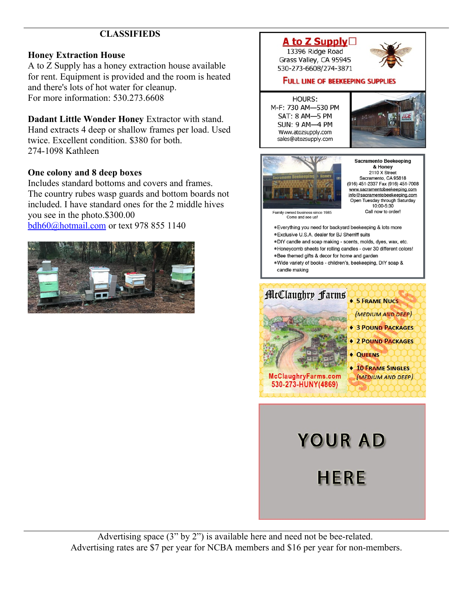#### **CLASSIFIEDS**

#### **Honey Extraction House**

A to Z Supply has a honey extraction house available for rent. Equipment is provided and the room is heated and there's lots of hot water for cleanup. For more information: 530.273.6608

**Dadant Little Wonder Honey** Extractor with stand. Hand extracts 4 deep or shallow frames per load. Used twice. Excellent condition. \$380 for both. 274-1098 Kathleen

#### **One colony and 8 deep boxes**

Includes standard bottoms and covers and frames. The country rubes wasp guards and bottom boards not included. I have standard ones for the 2 middle hives you see in the photo.\$300.00 [bdh60@hotmail.com](mailto:bdh60@hotmail.com) or text 978 855 1140





Advertising space (3" by 2") is available here and need not be bee-related. Advertising rates are \$7 per year for NCBA members and \$16 per year for non-members.